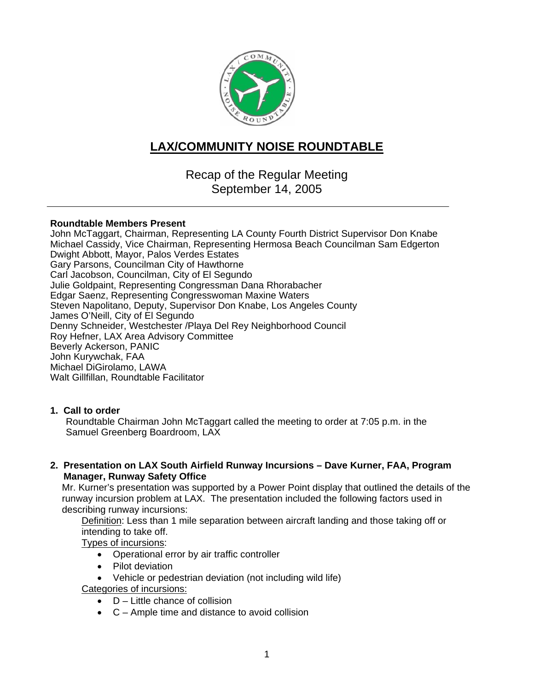

# **LAX/COMMUNITY NOISE ROUNDTABLE**

Recap of the Regular Meeting September 14, 2005

#### **Roundtable Members Present**

John McTaggart, Chairman, Representing LA County Fourth District Supervisor Don Knabe Michael Cassidy, Vice Chairman, Representing Hermosa Beach Councilman Sam Edgerton Dwight Abbott, Mayor, Palos Verdes Estates Gary Parsons, Councilman City of Hawthorne Carl Jacobson, Councilman, City of El Segundo Julie Goldpaint, Representing Congressman Dana Rhorabacher Edgar Saenz, Representing Congresswoman Maxine Waters Steven Napolitano, Deputy, Supervisor Don Knabe, Los Angeles County James O'Neill, City of El Segundo Denny Schneider, Westchester /Playa Del Rey Neighborhood Council Roy Hefner, LAX Area Advisory Committee Beverly Ackerson, PANIC John Kurywchak, FAA Michael DiGirolamo, LAWA Walt Gillfillan, Roundtable Facilitator

### **1. Call to order**

Roundtable Chairman John McTaggart called the meeting to order at 7:05 p.m. in the Samuel Greenberg Boardroom, LAX

**2. Presentation on LAX South Airfield Runway Incursions – Dave Kurner, FAA, Program Manager, Runway Safety Office** 

Mr. Kurner's presentation was supported by a Power Point display that outlined the details of the runway incursion problem at LAX. The presentation included the following factors used in describing runway incursions:

Definition: Less than 1 mile separation between aircraft landing and those taking off or intending to take off.

Types of incursions:

- Operational error by air traffic controller
- Pilot deviation
- Vehicle or pedestrian deviation (not including wild life)

Categories of incursions:

- $\bullet$  D Little chance of collision
- C Ample time and distance to avoid collision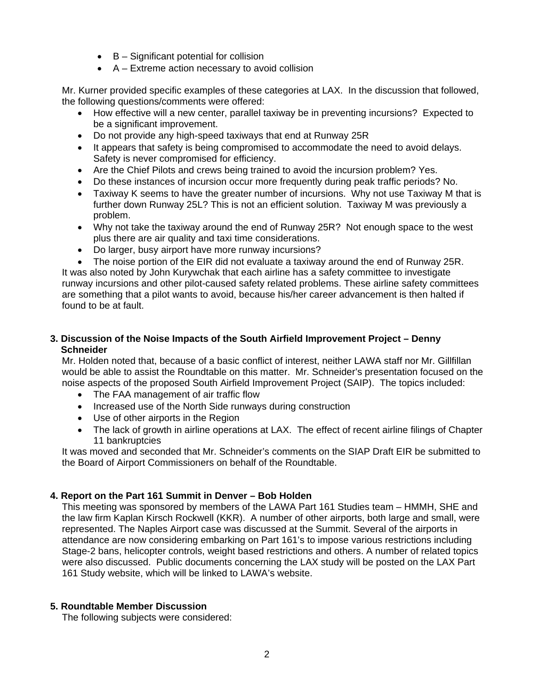- B Significant potential for collision
- A Extreme action necessary to avoid collision

Mr. Kurner provided specific examples of these categories at LAX. In the discussion that followed, the following questions/comments were offered:

- How effective will a new center, parallel taxiway be in preventing incursions? Expected to be a significant improvement.
- Do not provide any high-speed taxiways that end at Runway 25R
- It appears that safety is being compromised to accommodate the need to avoid delays. Safety is never compromised for efficiency.
- Are the Chief Pilots and crews being trained to avoid the incursion problem? Yes.
- Do these instances of incursion occur more frequently during peak traffic periods? No.
- Taxiway K seems to have the greater number of incursions. Why not use Taxiway M that is further down Runway 25L? This is not an efficient solution. Taxiway M was previously a problem.
- Why not take the taxiway around the end of Runway 25R? Not enough space to the west plus there are air quality and taxi time considerations.
- Do larger, busy airport have more runway incursions?
- The noise portion of the EIR did not evaluate a taxiway around the end of Runway 25R.

It was also noted by John Kurywchak that each airline has a safety committee to investigate runway incursions and other pilot-caused safety related problems. These airline safety committees are something that a pilot wants to avoid, because his/her career advancement is then halted if found to be at fault.

### **3. Discussion of the Noise Impacts of the South Airfield Improvement Project – Denny Schneider**

Mr. Holden noted that, because of a basic conflict of interest, neither LAWA staff nor Mr. Gillfillan would be able to assist the Roundtable on this matter. Mr. Schneider's presentation focused on the noise aspects of the proposed South Airfield Improvement Project (SAIP). The topics included:

- The FAA management of air traffic flow
- Increased use of the North Side runways during construction
- Use of other airports in the Region
- The lack of growth in airline operations at LAX. The effect of recent airline filings of Chapter 11 bankruptcies

It was moved and seconded that Mr. Schneider's comments on the SIAP Draft EIR be submitted to the Board of Airport Commissioners on behalf of the Roundtable.

## **4. Report on the Part 161 Summit in Denver – Bob Holden**

This meeting was sponsored by members of the LAWA Part 161 Studies team – HMMH, SHE and the law firm Kaplan Kirsch Rockwell (KKR). A number of other airports, both large and small, were represented. The Naples Airport case was discussed at the Summit. Several of the airports in attendance are now considering embarking on Part 161's to impose various restrictions including Stage-2 bans, helicopter controls, weight based restrictions and others. A number of related topics were also discussed. Public documents concerning the LAX study will be posted on the LAX Part 161 Study website, which will be linked to LAWA's website.

### **5. Roundtable Member Discussion**

The following subjects were considered: